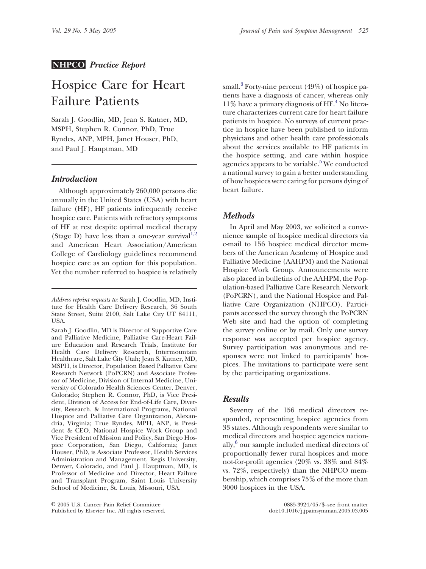## **NHPCO** *Practice Report*

# Hospice Care for Heart Failure Patients

Sarah J. Goodlin, MD, Jean S. Kutner, MD, MSPH, Stephen R. Connor, PhD, True Ryndes, ANP, MPH, Janet Houser, PhD, and Paul J. Hauptman, MD

# *Introduction*

Although approximately 260,000 persons die annually in the United States (USA) with heart failure (HF), HF patients infrequently receive hospice care. Patients with refractory symptoms of HF at rest despite optimal medical therapy (Stage D) have less than a one-year survival $1,2$ and American Heart Association/Americ[an](#page-3-0) College of Cardiology guidelines recommend hospice care as an option for this population. Yet the number referred to hospice is relatively

Sarah J. Goodlin, MD is Director of Supportive Care and Palliative Medicine, Palliative Care-Heart Failure Education and Research Trials, Institute for Health Care Delivery Research, Intermountain Healthcare, Salt Lake City Utah; Jean S. Kutner, MD, MSPH, is Director, Population Based Palliative Care Research Network (PoPCRN) and Associate Professor of Medicine, Division of Internal Medicine, University of Colorado Health Sciences Center, Denver, Colorado; Stephen R. Connor, PhD, is Vice President, Division of Access for End-of-Life Care, Diversity, Research, & International Programs, National Hospice and Palliative Care Organization, Alexandria, Virginia; True Ryndes, MPH, ANP, is President & CEO, National Hospice Work Group and Vice President of Mission and Policy, San Diego Hospice Corporation, San Diego, California; Janet Houser, PhD, is Associate Professor, Health Services Administration and Management, Regis University, Denver, Colorado, and Paul J. Hauptman, MD, is Professor of Medicine and Director, Heart Failure and Transplant Program, Saint Louis University School of Medicine, St. Louis, Missouri, USA.

 2005 U.S. Cancer Pain Relief Committee 0885-3924/05/\$–see front matter Published by Elsevier Inc. All rights reserved.

small.<sup>[3](#page-3-0)</sup> Forty-nine percent  $(49\%)$  of hospice patients have a diagnosis of cancer, whereas only  $11\%$  have a primary diagnosis of HF.<sup>4</sup> No literature characterizes current care for heart failure patients in hospice. No surveys of current practice in hospice have been published to inform physicians and other health care professionals about the services available to HF patients in the hospice setting, and care within hospice agencies appears to be variable.<sup>[5](#page-3-0)</sup> We conducted a national survey to gain a better understanding of how hospices were caring for persons dying of heart failure.

## *Methods*

In April and May 2003, we solicited a convenience sample of hospice medical directors via e-mail to 156 hospice medical director members of the American Academy of Hospice and Palliative Medicine (AAHPM) and the National Hospice Work Group. Announcements were also placed in bulletins of the AAHPM, the Population-based Palliative Care Research Network (PoPCRN), and the National Hospice and Palliative Care Organization (NHPCO). Participants accessed the survey through the PoPCRN Web site and had the option of completing the survey online or by mail. Only one survey response was accepted per hospice agency. Survey participation was anonymous and responses were not linked to participants' hospices. The invitations to participate were sent by the participating organizations.

#### *Results*

Seventy of the 156 medical directors responded, representing hospice agencies from 33 states. Although respondents were similar to medical directors and hospice agencies nationally,<sup>6</sup> our sample included medical directors of proportionally fewer rural hospices and more not-for-profit agencies (20% vs. 38% and 84% vs. 72%, respectively) than the NHPCO membership, which comprises 75% of the more than 3000 hospices in the USA.

*Address reprint requests to:* Sarah J. Goodlin, MD, Institute for Health Care Delivery Research, 36 South State Street, Suite 2100, Salt Lake City UT 84111, USA.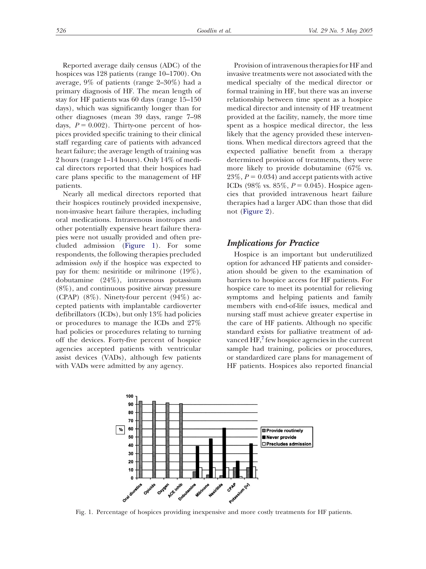Reported average daily census (ADC) of the hospices was 128 patients (range 10–1700). On average, 9% of patients (range 2–30%) had a primary diagnosis of HF. The mean length of stay for HF patients was 60 days (range 15–150 days), which was significantly longer than for other diagnoses (mean 39 days, range 7–98 days,  $P = 0.002$ ). Thirty-one percent of hospices provided specific training to their clinical staff regarding care of patients with advanced heart failure; the average length of training was 2 hours (range 1–14 hours). Only 14% of medical directors reported that their hospices had care plans specific to the management of HF patients.

Nearly all medical directors reported that their hospices routinely provided inexpensive, non-invasive heart failure therapies, including oral medications. Intravenous inotropes and other potentially expensive heart failure therapies were not usually provided and often precluded admission (Figure 1). For some respondents, the following therapies precluded admission *only* if the hospice was expected to pay for them: nesiritide or milrinone (19%), dobutamine (24%), intravenous potassium (8%), and continuous positive airway pressure (CPAP)  $(8\%)$ . Ninety-four percent  $(94\%)$  accepted patients with implantable cardioverter defibrillators (ICDs), but only 13% had policies or procedures to manage the ICDs and 27% had policies or procedures relating to turning off the devices. Forty-five percent of hospice agencies accepted patients with ventricular assist devices (VADs), although few patients with VADs were admitted by any agency.

Provision of intravenous therapies for HF and invasive treatments were not associated with the medical specialty of the medical director or formal training in HF, but there was an inverse relationship between time spent as a hospice medical director and intensity of HF treatment provided at the facility, namely, the more time spent as a hospice medical director, the less likely that the agency provided these interventions. When medical directors agreed that the expected palliative benefit from a therapy determined provision of treatments, they were more likely to provide dobutamine (67% vs.  $23\%, P = 0.034$ ) and accept patients with active ICDs (98% vs. 85%,  $P = 0.045$ ). Hospice agencies that provided intravenous heart failure therapies had a larger ADC than those that did not [\(Figure 2\)](#page-2-0).

## *Implications for Practice*

Hospice is an important but underutilized option for advanced HF patients and consideration should be given to the examination of barriers to hospice access for HF patients. For hospice care to meet its potential for relieving symptoms and helping patients and family members with end-of-life issues, medical and nursing staff must achieve greater expertise in the care of HF patients. Although no specific standard exists for palliative treatment of advanced  $HF<sup>7</sup>$  $HF<sup>7</sup>$  $HF<sup>7</sup>$  few hospice agencies in the current sample had training, policies or procedures, or standardized care plans for management of HF patients. Hospices also reported financial



Fig. 1. Percentage of hospices providing inexpensive and more costly treatments for HF patients.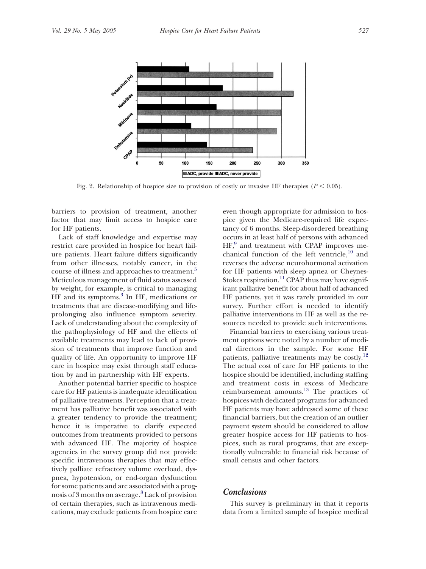<span id="page-2-0"></span>

Fig. 2. Relationship of hospice size to provision of costly or invasive HF therapies  $(P < 0.05)$ .

barriers to provision of treatment, another factor that may limit access to hospice care for HF patients.

Lack of staff knowledge and expertise may restrict care provided in hospice for heart failure patients. Heart failure differs significantly from other illnesses, notably cancer, in the course of illness and approaches to treatment.<sup>5</sup> Meticulous management of fluid status assessed by weight, for example, is critical to managing HF and its symptoms.<sup>3</sup> In HF, medications or treatments that are disease-modifying and lifeprolonging also influence symptom severity. Lack of understanding about the complexity of the pathophysiology of HF and the effects of available treatments may lead to lack of provision of treatments that improve function and quality of life. An opportunity to improve HF care in hospice may exist through staff education by and in partnership with HF experts.

Another potential barrier specific to hospice care for HF patients is inadequate identification of palliative treatments. Perception that a treatment has palliative benefit was associated with a greater tendency to provide the treatment; hence it is imperative to clarify expected outcomes from treatments provided to persons with advanced HF. The majority of hospice agencies in the survey group did not provide specific intravenous therapies that may effectively palliate refractory volume overload, dyspnea, hypotension, or end-organ dysfunction for some patients and are associated with a prog-nosis of 3 months on average.<sup>[8](#page-3-0)</sup> Lack of provision of certain therapies, such as intravenous medications, may exclude patients from hospice care

even though appropriate for admission to hospice given the Medicare-required life expectancy of 6 months. Sleep-disordered breathing occurs in at least half of persons with advanced HF,<sup>9</sup> and treatment with CPAP improves mechanical function of the left ventricle, $10$  and reverses the adverse neurohormonal activation for HF patients with sleep apnea or Cheynes-Stokes respiration.<sup>11</sup> CPAP thus may have significant palliative benefit for about half of advanced HF patients, yet it was rarely provided in our survey. Further effort is needed to identify palliative interventions in HF as well as the resources needed to provide such interventions.

Financial barriers to exercising various treatment options were noted by a number of medical directors in the sample. For some HF patients, palliative treatments may be costly.<sup>12</sup> The actual cost of care for HF patients to the hospice should be identified, including staffing and treatment costs in excess of Medicare reimbursement amounts.[13](#page-3-0) The practices of hospices with dedicated programs for advanced HF patients may have addressed some of these financial barriers, but the creation of an outlier payment system should be considered to allow greater hospice access for HF patients to hospices, such as rural programs, that are exceptionally vulnerable to financial risk because of small census and other factors.

## *Conclusions*

This survey is preliminary in that it reports data from a limited sample of hospice medical